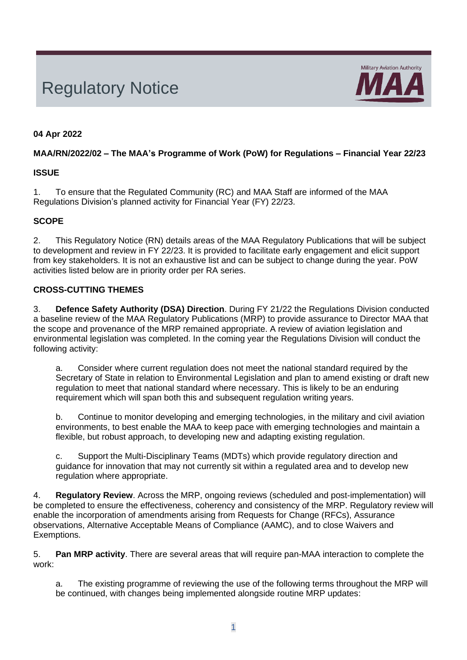# Regulatory Notice



# **04 Apr 2022**

## **MAA/RN/2022/02 – The MAA's Programme of Work (PoW) for Regulations – Financial Year 22/23**

## **ISSUE**

1. To ensure that the Regulated Community (RC) and MAA Staff are informed of the MAA Regulations Division's planned activity for Financial Year (FY) 22/23.

# **SCOPE**

2. This Regulatory Notice (RN) details areas of the MAA Regulatory Publications that will be subject to development and review in FY 22/23. It is provided to facilitate early engagement and elicit support from key stakeholders. It is not an exhaustive list and can be subject to change during the year. PoW activities listed below are in priority order per RA series.

# **CROSS-CUTTING THEMES**

3. **Defence Safety Authority (DSA) Direction**. During FY 21/22 the Regulations Division conducted a baseline review of the MAA Regulatory Publications (MRP) to provide assurance to Director MAA that the scope and provenance of the MRP remained appropriate. A review of aviation legislation and environmental legislation was completed. In the coming year the Regulations Division will conduct the following activity:

a. Consider where current regulation does not meet the national standard required by the Secretary of State in relation to Environmental Legislation and plan to amend existing or draft new regulation to meet that national standard where necessary. This is likely to be an enduring requirement which will span both this and subsequent regulation writing years.

b. Continue to monitor developing and emerging technologies, in the military and civil aviation environments, to best enable the MAA to keep pace with emerging technologies and maintain a flexible, but robust approach, to developing new and adapting existing regulation.

c. Support the Multi-Disciplinary Teams (MDTs) which provide regulatory direction and guidance for innovation that may not currently sit within a regulated area and to develop new regulation where appropriate.

4. **Regulatory Review**. Across the MRP, ongoing reviews (scheduled and post-implementation) will be completed to ensure the effectiveness, coherency and consistency of the MRP. Regulatory review will enable the incorporation of amendments arising from Requests for Change (RFCs), Assurance observations, Alternative Acceptable Means of Compliance (AAMC), and to close Waivers and Exemptions.

5. **Pan MRP activity**. There are several areas that will require pan-MAA interaction to complete the work:

a. The existing programme of reviewing the use of the following terms throughout the MRP will be continued, with changes being implemented alongside routine MRP updates: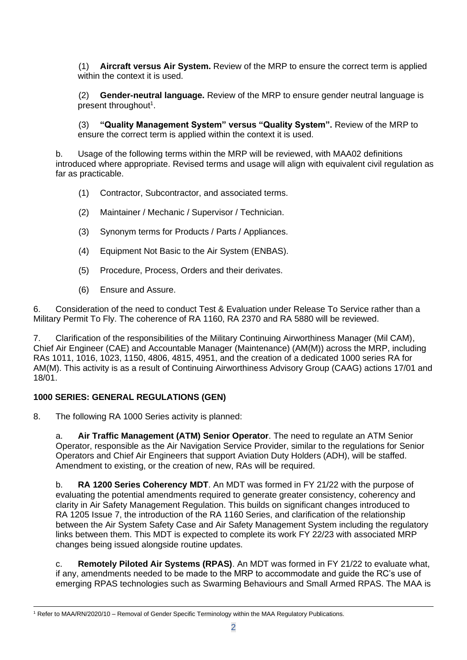(1) **Aircraft versus Air System.** Review of the MRP to ensure the correct term is applied within the context it is used.

(2) **Gender-neutral language.** Review of the MRP to ensure gender neutral language is present throughout<sup>1</sup>.

(3) **"Quality Management System" versus "Quality System".** Review of the MRP to ensure the correct term is applied within the context it is used.

b. Usage of the following terms within the MRP will be reviewed, with MAA02 definitions introduced where appropriate. Revised terms and usage will align with equivalent civil regulation as far as practicable.

- (1) Contractor, Subcontractor, and associated terms.
- (2) Maintainer / Mechanic / Supervisor / Technician.
- (3) Synonym terms for Products / Parts / Appliances.
- (4) Equipment Not Basic to the Air System (ENBAS).
- (5) Procedure, Process, Orders and their derivates.
- (6) Ensure and Assure.

6. Consideration of the need to conduct Test & Evaluation under Release To Service rather than a Military Permit To Fly. The coherence of RA 1160, RA 2370 and RA 5880 will be reviewed.

7. Clarification of the responsibilities of the Military Continuing Airworthiness Manager (Mil CAM), Chief Air Engineer (CAE) and Accountable Manager (Maintenance) (AM(M)) across the MRP, including RAs 1011, 1016, 1023, 1150, 4806, 4815, 4951, and the creation of a dedicated 1000 series RA for AM(M). This activity is as a result of Continuing Airworthiness Advisory Group (CAAG) actions 17/01 and 18/01.

# **1000 SERIES: GENERAL REGULATIONS (GEN)**

8. The following RA 1000 Series activity is planned:

a. **Air Traffic Management (ATM) Senior Operator**. The need to regulate an ATM Senior Operator, responsible as the Air Navigation Service Provider, similar to the regulations for Senior Operators and Chief Air Engineers that support Aviation Duty Holders (ADH), will be staffed. Amendment to existing, or the creation of new, RAs will be required.

b. **RA 1200 Series Coherency MDT**. An MDT was formed in FY 21/22 with the purpose of evaluating the potential amendments required to generate greater consistency, coherency and clarity in Air Safety Management Regulation. This builds on significant changes introduced to RA 1205 Issue 7, the introduction of the RA 1160 Series, and clarification of the relationship between the Air System Safety Case and Air Safety Management System including the regulatory links between them. This MDT is expected to complete its work FY 22/23 with associated MRP changes being issued alongside routine updates.

c. **Remotely Piloted Air Systems (RPAS)**. An MDT was formed in FY 21/22 to evaluate what, if any, amendments needed to be made to the MRP to accommodate and guide the RC's use of emerging RPAS technologies such as Swarming Behaviours and Small Armed RPAS. The MAA is

<sup>&</sup>lt;sup>1</sup> Refer to MAA/RN/2020/10 - Removal of Gender Specific Terminology within the MAA Regulatory Publications.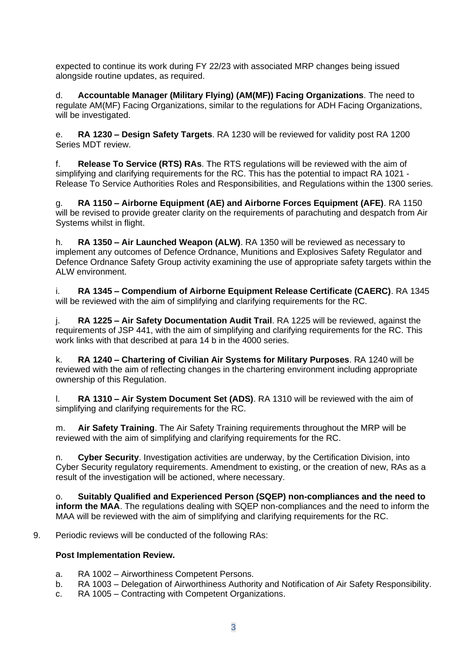expected to continue its work during FY 22/23 with associated MRP changes being issued alongside routine updates, as required.

d. **Accountable Manager (Military Flying) (AM(MF)) Facing Organizations**. The need to regulate AM(MF) Facing Organizations, similar to the regulations for ADH Facing Organizations, will be investigated.

e. **RA 1230 – Design Safety Targets**. RA 1230 will be reviewed for validity post RA 1200 Series MDT review.

f. **Release To Service (RTS) RAs**. The RTS regulations will be reviewed with the aim of simplifying and clarifying requirements for the RC. This has the potential to impact RA 1021 - Release To Service Authorities Roles and Responsibilities, and Regulations within the 1300 series.

g. **RA 1150 – Airborne Equipment (AE) and Airborne Forces Equipment (AFE)**. RA 1150 will be revised to provide greater clarity on the requirements of parachuting and despatch from Air Systems whilst in flight.

h. **RA 1350 – Air Launched Weapon (ALW)**. RA 1350 will be reviewed as necessary to implement any outcomes of Defence Ordnance, Munitions and Explosives Safety Regulator and Defence Ordnance Safety Group activity examining the use of appropriate safety targets within the ALW environment.

i. **RA 1345 – Compendium of Airborne Equipment Release Certificate (CAERC)**. RA 1345 will be reviewed with the aim of simplifying and clarifying requirements for the RC.

j. **RA 1225 – Air Safety Documentation Audit Trail**. RA 1225 will be reviewed, against the requirements of JSP 441, with the aim of simplifying and clarifying requirements for the RC. This work links with that described at para 14 b in the 4000 series.

k. **RA 1240 – Chartering of Civilian Air Systems for Military Purposes**. RA 1240 will be reviewed with the aim of reflecting changes in the chartering environment including appropriate ownership of this Regulation.

l. **RA 1310 – Air System Document Set (ADS)**. RA 1310 will be reviewed with the aim of simplifying and clarifying requirements for the RC.

m. **Air Safety Training**. The Air Safety Training requirements throughout the MRP will be reviewed with the aim of simplifying and clarifying requirements for the RC.

n. **Cyber Security**. Investigation activities are underway, by the Certification Division, into Cyber Security regulatory requirements. Amendment to existing, or the creation of new, RAs as a result of the investigation will be actioned, where necessary.

o. **Suitably Qualified and Experienced Person (SQEP) non-compliances and the need to inform the MAA**. The regulations dealing with SQEP non-compliances and the need to inform the MAA will be reviewed with the aim of simplifying and clarifying requirements for the RC.

9. Periodic reviews will be conducted of the following RAs:

#### **Post Implementation Review.**

- a. RA 1002 Airworthiness Competent Persons.
- b. RA 1003 Delegation of Airworthiness Authority and Notification of Air Safety Responsibility.
- c. RA 1005 Contracting with Competent Organizations.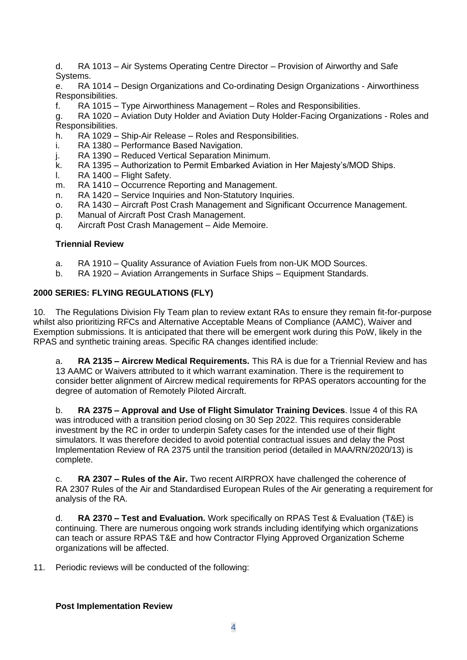- d. RA 1013 Air Systems Operating Centre Director Provision of Airworthy and Safe Systems.
- e. RA 1014 Design Organizations and Co-ordinating Design Organizations Airworthiness Responsibilities.
- f. RA 1015 Type Airworthiness Management Roles and Responsibilities.
- g. RA 1020 Aviation Duty Holder and Aviation Duty Holder-Facing Organizations Roles and Responsibilities.
- h. RA 1029 Ship-Air Release Roles and Responsibilities.
- i. RA 1380 Performance Based Navigation.
- j. RA 1390 Reduced Vertical Separation Minimum.
- k. RA 1395 Authorization to Permit Embarked Aviation in Her Majesty's/MOD Ships.
- l. RA 1400 Flight Safety.
- m. RA 1410 Occurrence Reporting and Management.
- n. RA 1420 Service Inquiries and Non-Statutory Inquiries.
- o. RA 1430 Aircraft Post Crash Management and Significant Occurrence Management.
- p. Manual of Aircraft Post Crash Management.
- q. Aircraft Post Crash Management Aide Memoire.

#### **Triennial Review**

- a. RA 1910 Quality Assurance of Aviation Fuels from non-UK MOD Sources.
- b. RA 1920 Aviation Arrangements in Surface Ships Equipment Standards.

## **2000 SERIES: FLYING REGULATIONS (FLY)**

10. The Regulations Division Fly Team plan to review extant RAs to ensure they remain fit-for-purpose whilst also prioritizing RFCs and Alternative Acceptable Means of Compliance (AAMC), Waiver and Exemption submissions. It is anticipated that there will be emergent work during this PoW, likely in the RPAS and synthetic training areas. Specific RA changes identified include:

a. **RA 2135 – Aircrew Medical Requirements.** This RA is due for a Triennial Review and has 13 AAMC or Waivers attributed to it which warrant examination. There is the requirement to consider better alignment of Aircrew medical requirements for RPAS operators accounting for the degree of automation of Remotely Piloted Aircraft.

b. **RA 2375 – Approval and Use of Flight Simulator Training Devices**. Issue 4 of this RA was introduced with a transition period closing on 30 Sep 2022. This requires considerable investment by the RC in order to underpin Safety cases for the intended use of their flight simulators. It was therefore decided to avoid potential contractual issues and delay the Post Implementation Review of RA 2375 until the transition period (detailed in MAA/RN/2020/13) is complete.

c. **RA 2307 – Rules of the Air.** Two recent AIRPROX have challenged the coherence of RA 2307 Rules of the Air and Standardised European Rules of the Air generating a requirement for analysis of the RA.

d. **RA 2370 – Test and Evaluation.** Work specifically on RPAS Test & Evaluation (T&E) is continuing. There are numerous ongoing work strands including identifying which organizations can teach or assure RPAS T&E and how Contractor Flying Approved Organization Scheme organizations will be affected.

11. Periodic reviews will be conducted of the following:

#### **Post Implementation Review**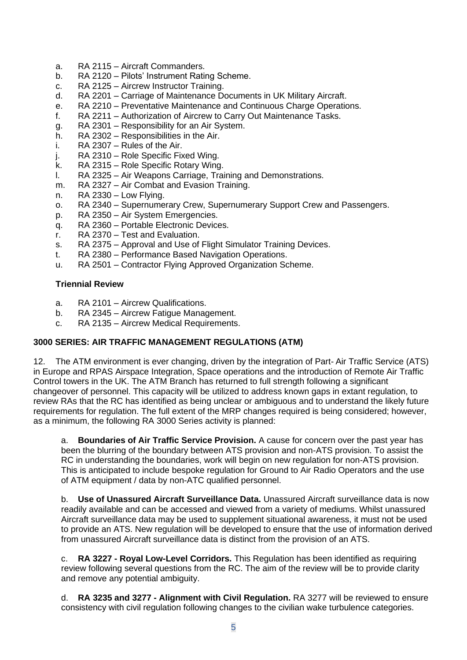- a. RA 2115 Aircraft Commanders.
- b. RA 2120 Pilots' Instrument Rating Scheme.
- c. RA 2125 Aircrew Instructor Training.
- d. RA 2201 Carriage of Maintenance Documents in UK Military Aircraft.
- e. RA 2210 Preventative Maintenance and Continuous Charge Operations.
- f. RA 2211 Authorization of Aircrew to Carry Out Maintenance Tasks.
- g. RA 2301 Responsibility for an Air System.
- h. RA 2302 Responsibilities in the Air.
- i. RA 2307 Rules of the Air.
- j. RA 2310 Role Specific Fixed Wing.
- k. RA 2315 Role Specific Rotary Wing.
- l. RA 2325 Air Weapons Carriage, Training and Demonstrations.
- m. RA 2327 Air Combat and Evasion Training.
- n. RA 2330 Low Flying.
- o. RA 2340 Supernumerary Crew, Supernumerary Support Crew and Passengers.
- p. RA 2350 Air System Emergencies.
- q. RA 2360 Portable Electronic Devices.
- r. RA 2370 Test and Evaluation.
- s. RA 2375 Approval and Use of Flight Simulator Training Devices.
- t. RA 2380 Performance Based Navigation Operations.
- u. RA 2501 Contractor Flying Approved Organization Scheme.

## **Triennial Review**

- a. RA 2101 Aircrew Qualifications.
- b. RA 2345 Aircrew Fatigue Management.
- c. RA 2135 Aircrew Medical Requirements.

# **3000 SERIES: AIR TRAFFIC MANAGEMENT REGULATIONS (ATM)**

12. The ATM environment is ever changing, driven by the integration of Part- Air Traffic Service (ATS) in Europe and RPAS Airspace Integration, Space operations and the introduction of Remote Air Traffic Control towers in the UK. The ATM Branch has returned to full strength following a significant changeover of personnel. This capacity will be utilized to address known gaps in extant regulation, to review RAs that the RC has identified as being unclear or ambiguous and to understand the likely future requirements for regulation. The full extent of the MRP changes required is being considered; however, as a minimum, the following RA 3000 Series activity is planned:

a. **Boundaries of Air Traffic Service Provision.** A cause for concern over the past year has been the blurring of the boundary between ATS provision and non-ATS provision. To assist the RC in understanding the boundaries, work will begin on new regulation for non-ATS provision. This is anticipated to include bespoke regulation for Ground to Air Radio Operators and the use of ATM equipment / data by non-ATC qualified personnel.

b. **Use of Unassured Aircraft Surveillance Data.** Unassured Aircraft surveillance data is now readily available and can be accessed and viewed from a variety of mediums. Whilst unassured Aircraft surveillance data may be used to supplement situational awareness, it must not be used to provide an ATS. New regulation will be developed to ensure that the use of information derived from unassured Aircraft surveillance data is distinct from the provision of an ATS.

c. **RA 3227 - Royal Low-Level Corridors.** This Regulation has been identified as requiring review following several questions from the RC. The aim of the review will be to provide clarity and remove any potential ambiguity.

d. **RA 3235 and 3277 - Alignment with Civil Regulation.** RA 3277 will be reviewed to ensure consistency with civil regulation following changes to the civilian wake turbulence categories.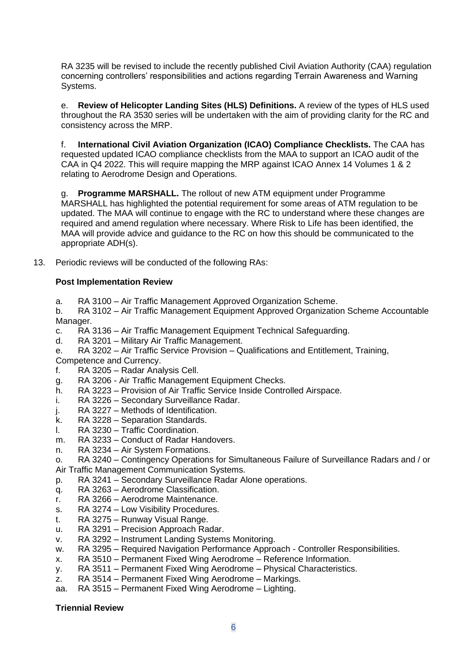RA 3235 will be revised to include the recently published Civil Aviation Authority (CAA) regulation concerning controllers' responsibilities and actions regarding Terrain Awareness and Warning Systems.

e. **Review of Helicopter Landing Sites (HLS) Definitions.** A review of the types of HLS used throughout the RA 3530 series will be undertaken with the aim of providing clarity for the RC and consistency across the MRP.

f. **International Civil Aviation Organization (ICAO) Compliance Checklists.** The CAA has requested updated ICAO compliance checklists from the MAA to support an ICAO audit of the CAA in Q4 2022. This will require mapping the MRP against ICAO Annex 14 Volumes 1 & 2 relating to Aerodrome Design and Operations.

**Programme MARSHALL.** The rollout of new ATM equipment under Programme MARSHALL has highlighted the potential requirement for some areas of ATM regulation to be updated. The MAA will continue to engage with the RC to understand where these changes are required and amend regulation where necessary. Where Risk to Life has been identified, the MAA will provide advice and guidance to the RC on how this should be communicated to the appropriate ADH(s).

13. Periodic reviews will be conducted of the following RAs:

# **Post Implementation Review**

a. RA 3100 – Air Traffic Management Approved Organization Scheme.

b. RA 3102 – Air Traffic Management Equipment Approved Organization Scheme Accountable Manager.

- c. RA 3136 Air Traffic Management Equipment Technical Safeguarding.
- d. RA 3201 Military Air Traffic Management.
- e. RA 3202 Air Traffic Service Provision Qualifications and Entitlement, Training, Competence and Currency.
- f. RA 3205 Radar Analysis Cell.
- g. RA 3206 Air Traffic Management Equipment Checks.
- h. RA 3223 Provision of Air Traffic Service Inside Controlled Airspace.
- i. RA 3226 Secondary Surveillance Radar.
- j. RA 3227 Methods of Identification.
- k. RA 3228 Separation Standards.
- l. RA 3230 Traffic Coordination.
- m. RA 3233 Conduct of Radar Handovers.
- n. RA 3234 Air System Formations.
- o. RA 3240 Contingency Operations for Simultaneous Failure of Surveillance Radars and / or Air Traffic Management Communication Systems.
- p. RA 3241 Secondary Surveillance Radar Alone operations.
- q. RA 3263 Aerodrome Classification.
- r. RA 3266 Aerodrome Maintenance.
- s. RA 3274 Low Visibility Procedures.
- t. RA 3275 Runway Visual Range.
- u. RA 3291 Precision Approach Radar.
- v. RA 3292 Instrument Landing Systems Monitoring.
- w. RA 3295 Required Navigation Performance Approach Controller Responsibilities.
- x. RA 3510 Permanent Fixed Wing Aerodrome Reference Information.
- y. RA 3511 Permanent Fixed Wing Aerodrome Physical Characteristics.
- z. RA 3514 Permanent Fixed Wing Aerodrome Markings.
- aa. RA 3515 Permanent Fixed Wing Aerodrome Lighting.

#### **Triennial Review**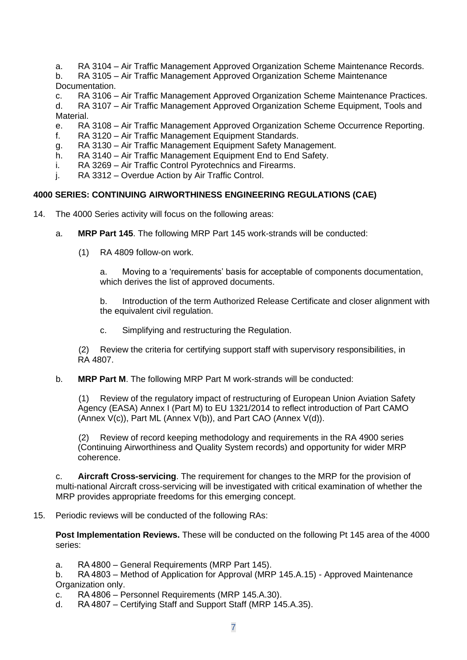- a. RA 3104 Air Traffic Management Approved Organization Scheme Maintenance Records.
- b. RA 3105 Air Traffic Management Approved Organization Scheme Maintenance Documentation.
- c. RA 3106 Air Traffic Management Approved Organization Scheme Maintenance Practices.
- d. RA 3107 Air Traffic Management Approved Organization Scheme Equipment, Tools and Material.
- e. RA 3108 Air Traffic Management Approved Organization Scheme Occurrence Reporting.
- f. RA 3120 Air Traffic Management Equipment Standards.
- g. RA 3130 Air Traffic Management Equipment Safety Management.
- h. RA 3140 Air Traffic Management Equipment End to End Safety.
- i. RA 3269 Air Traffic Control Pyrotechnics and Firearms.
- j. RA 3312 Overdue Action by Air Traffic Control.

#### **4000 SERIES: CONTINUING AIRWORTHINESS ENGINEERING REGULATIONS (CAE)**

- 14. The 4000 Series activity will focus on the following areas:
	- a. **MRP Part 145**. The following MRP Part 145 work-strands will be conducted:
		- (1) RA 4809 follow-on work.

a. Moving to a 'requirements' basis for acceptable of components documentation, which derives the list of approved documents.

b. Introduction of the term Authorized Release Certificate and closer alignment with the equivalent civil regulation.

c. Simplifying and restructuring the Regulation.

(2) Review the criteria for certifying support staff with supervisory responsibilities, in RA 4807.

b. **MRP Part M**. The following MRP Part M work-strands will be conducted:

(1) Review of the regulatory impact of restructuring of European Union Aviation Safety Agency (EASA) Annex I (Part M) to EU 1321/2014 to reflect introduction of Part CAMO (Annex  $V(c)$ ), Part ML (Annex  $V(b)$ ), and Part CAO (Annex  $V(d)$ ).

Review of record keeping methodology and requirements in the RA 4900 series (Continuing Airworthiness and Quality System records) and opportunity for wider MRP coherence.

c. **Aircraft Cross-servicing**. The requirement for changes to the MRP for the provision of multi-national Aircraft cross-servicing will be investigated with critical examination of whether the MRP provides appropriate freedoms for this emerging concept.

15. Periodic reviews will be conducted of the following RAs:

**Post Implementation Reviews.** These will be conducted on the following Pt 145 area of the 4000 series:

a. RA 4800 – General Requirements (MRP Part 145).

b. RA 4803 – Method of Application for Approval (MRP 145.A.15) - Approved Maintenance Organization only.

- c. RA 4806 Personnel Requirements (MRP 145.A.30).
- d. RA 4807 Certifying Staff and Support Staff (MRP 145.A.35).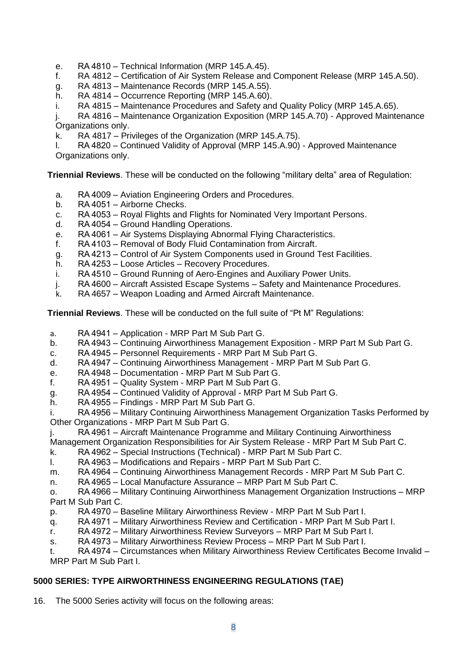- e. RA 4810 Technical Information (MRP 145.A.45).
- f. RA 4812 Certification of Air System Release and Component Release (MRP 145.A.50).
- g. RA 4813 Maintenance Records (MRP 145.A.55).
- h. RA 4814 Occurrence Reporting (MRP 145.A.60).
- i. RA 4815 Maintenance Procedures and Safety and Quality Policy (MRP 145.A.65).
- j. RA 4816 Maintenance Organization Exposition (MRP 145.A.70) Approved Maintenance Organizations only.
- k. RA 4817 Privileges of the Organization (MRP 145.A.75).

l. RA 4820 – Continued Validity of Approval (MRP 145.A.90) - Approved Maintenance Organizations only.

**Triennial Reviews**. These will be conducted on the following "military delta" area of Regulation:

- a. RA 4009 Aviation Engineering Orders and Procedures.
- b. RA 4051 Airborne Checks.
- c. RA 4053 Royal Flights and Flights for Nominated Very Important Persons.
- d. RA 4054 Ground Handling Operations.
- e. RA 4061 Air Systems Displaying Abnormal Flying Characteristics.
- f. RA 4103 Removal of Body Fluid Contamination from Aircraft.
- g. RA 4213 Control of Air System Components used in Ground Test Facilities.
- h. RA 4253 Loose Articles Recovery Procedures.
- i. RA 4510 Ground Running of Aero-Engines and Auxiliary Power Units.
- j. RA 4600 Aircraft Assisted Escape Systems Safety and Maintenance Procedures.
- k. RA 4657 Weapon Loading and Armed Aircraft Maintenance.

**Triennial Reviews**. These will be conducted on the full suite of "Pt M" Regulations:

- a. RA 4941 Application MRP Part M Sub Part G.
- b. RA 4943 Continuing Airworthiness Management Exposition MRP Part M Sub Part G.
- c. RA 4945 Personnel Requirements MRP Part M Sub Part G.
- d. RA 4947 Continuing Airworthiness Management MRP Part M Sub Part G.
- e. RA 4948 Documentation MRP Part M Sub Part G.
- f. RA 4951 Quality System MRP Part M Sub Part G.
- g. RA 4954 Continued Validity of Approval MRP Part M Sub Part G.
- h. RA 4955 Findings MRP Part M Sub Part G.

i. RA 4956 – Military Continuing Airworthiness Management Organization Tasks Performed by Other Organizations - MRP Part M Sub Part G.

j. RA 4961 – Aircraft Maintenance Programme and Military Continuing Airworthiness

Management Organization Responsibilities for Air System Release - MRP Part M Sub Part C.

- k. RA 4962 Special Instructions (Technical) MRP Part M Sub Part C.
- l. RA 4963 Modifications and Repairs MRP Part M Sub Part C.
- m. RA 4964 Continuing Airworthiness Management Records MRP Part M Sub Part C.
- n. RA 4965 Local Manufacture Assurance MRP Part M Sub Part C.

o. RA 4966 – Military Continuing Airworthiness Management Organization Instructions – MRP Part M Sub Part C.

- p. RA 4970 Baseline Military Airworthiness Review MRP Part M Sub Part I.
- q. RA 4971 Military Airworthiness Review and Certification MRP Part M Sub Part I.
- r. RA 4972 Military Airworthiness Review Surveyors MRP Part M Sub Part I.
- s. RA 4973 Military Airworthiness Review Process MRP Part M Sub Part I.

t. RA 4974 – Circumstances when Military Airworthiness Review Certificates Become Invalid – MRP Part M Sub Part I.

# **5000 SERIES: TYPE AIRWORTHINESS ENGINEERING REGULATIONS (TAE)**

16. The 5000 Series activity will focus on the following areas: